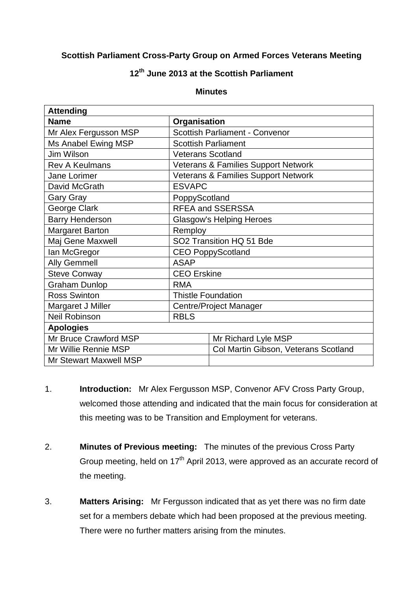## **Scottish Parliament Cross-Party Group on Armed Forces Veterans Meeting**

## **12th June 2013 at the Scottish Parliament**

## **Minutes**

| <b>Attending</b>              |                                                |                                      |
|-------------------------------|------------------------------------------------|--------------------------------------|
| <b>Name</b>                   | Organisation                                   |                                      |
| Mr Alex Fergusson MSP         | <b>Scottish Parliament - Convenor</b>          |                                      |
| Ms Anabel Ewing MSP           | <b>Scottish Parliament</b>                     |                                      |
| Jim Wilson                    | <b>Veterans Scotland</b>                       |                                      |
| <b>Rev A Keulmans</b>         | <b>Veterans &amp; Families Support Network</b> |                                      |
| Jane Lorimer                  | <b>Veterans &amp; Families Support Network</b> |                                      |
| David McGrath                 | <b>ESVAPC</b>                                  |                                      |
| <b>Gary Gray</b>              | PoppyScotland                                  |                                      |
| George Clark                  | <b>RFEA and SSERSSA</b>                        |                                      |
| <b>Barry Henderson</b>        | Glasgow's Helping Heroes                       |                                      |
| <b>Margaret Barton</b>        | Remploy                                        |                                      |
| Maj Gene Maxwell              | SO2 Transition HQ 51 Bde                       |                                      |
| lan McGregor                  | <b>CEO PoppyScotland</b>                       |                                      |
| <b>Ally Gemmell</b>           | <b>ASAP</b>                                    |                                      |
| <b>Steve Conway</b>           | <b>CEO</b> Erskine                             |                                      |
| <b>Graham Dunlop</b>          | <b>RMA</b>                                     |                                      |
| <b>Ross Swinton</b>           | <b>Thistle Foundation</b>                      |                                      |
| Margaret J Miller             | <b>Centre/Project Manager</b>                  |                                      |
| <b>Neil Robinson</b>          | <b>RBLS</b>                                    |                                      |
| <b>Apologies</b>              |                                                |                                      |
| Mr Bruce Crawford MSP         |                                                | Mr Richard Lyle MSP                  |
| Mr Willie Rennie MSP          |                                                | Col Martin Gibson, Veterans Scotland |
| <b>Mr Stewart Maxwell MSP</b> |                                                |                                      |

- 1. **Introduction:** Mr Alex Fergusson MSP, Convenor AFV Cross Party Group, welcomed those attending and indicated that the main focus for consideration at this meeting was to be Transition and Employment for veterans.
- 2. **Minutes of Previous meeting:** The minutes of the previous Cross Party Group meeting, held on  $17<sup>th</sup>$  April 2013, were approved as an accurate record of the meeting.
- 3. **Matters Arising:** Mr Fergusson indicated that as yet there was no firm date set for a members debate which had been proposed at the previous meeting. There were no further matters arising from the minutes.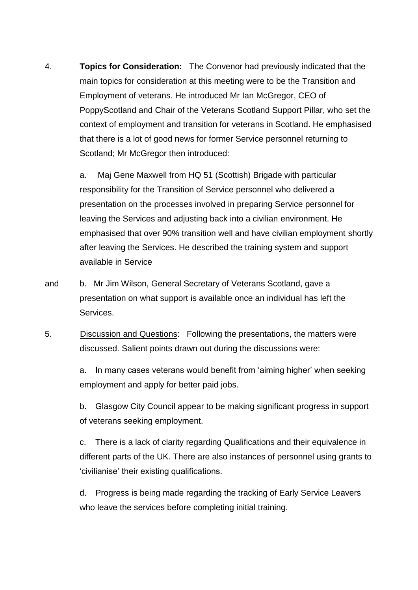4. **Topics for Consideration:** The Convenor had previously indicated that the main topics for consideration at this meeting were to be the Transition and Employment of veterans. He introduced Mr Ian McGregor, CEO of PoppyScotland and Chair of the Veterans Scotland Support Pillar, who set the context of employment and transition for veterans in Scotland. He emphasised that there is a lot of good news for former Service personnel returning to Scotland; Mr McGregor then introduced:

> a. Maj Gene Maxwell from HQ 51 (Scottish) Brigade with particular responsibility for the Transition of Service personnel who delivered a presentation on the processes involved in preparing Service personnel for leaving the Services and adjusting back into a civilian environment. He emphasised that over 90% transition well and have civilian employment shortly after leaving the Services. He described the training system and support available in Service

- and b. Mr Jim Wilson, General Secretary of Veterans Scotland, gave a presentation on what support is available once an individual has left the Services.
- 5. Discussion and Questions: Following the presentations, the matters were discussed. Salient points drawn out during the discussions were:

a. In many cases veterans would benefit from 'aiming higher' when seeking employment and apply for better paid jobs.

b. Glasgow City Council appear to be making significant progress in support of veterans seeking employment.

c. There is a lack of clarity regarding Qualifications and their equivalence in different parts of the UK. There are also instances of personnel using grants to 'civilianise' their existing qualifications.

d. Progress is being made regarding the tracking of Early Service Leavers who leave the services before completing initial training.